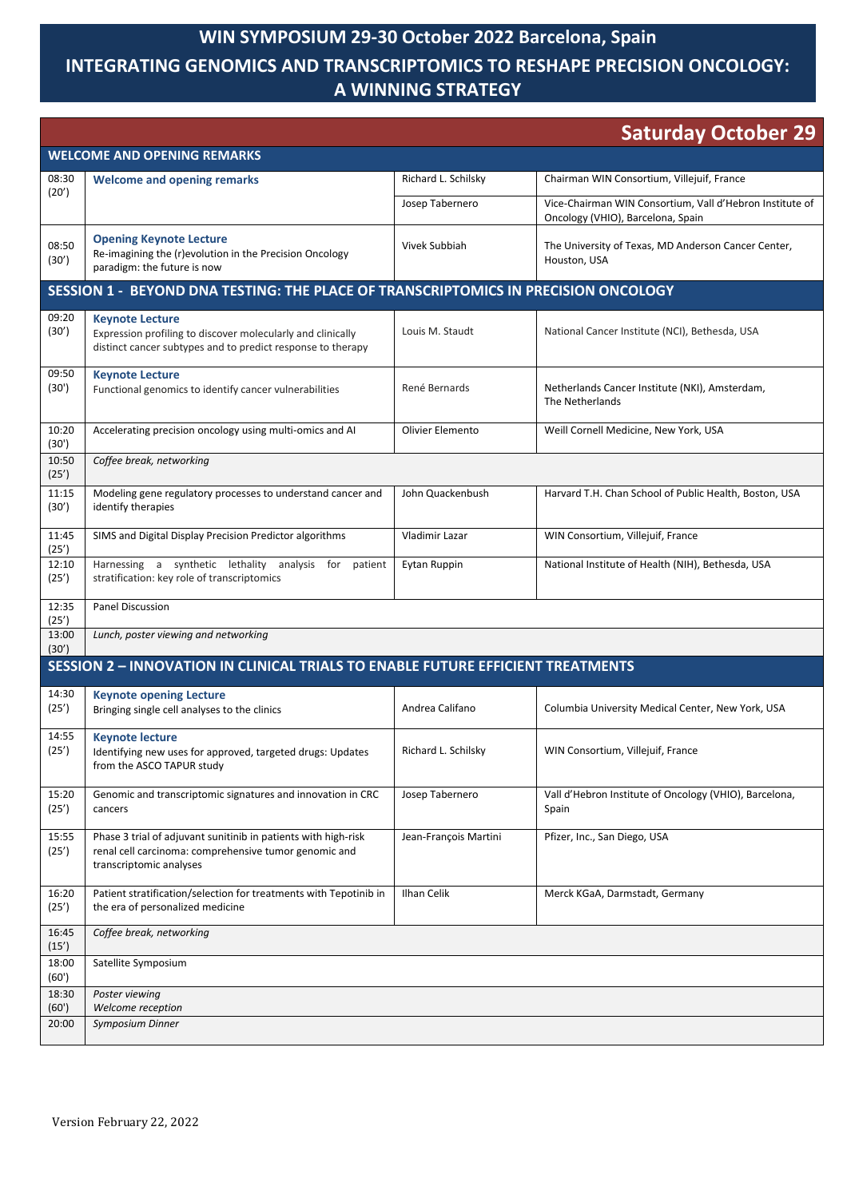## **WIN SYMPOSIUM 29-30 October 2022 Barcelona, Spain**

## **INTEGRATING GENOMICS AND TRANSCRIPTOMICS TO RESHAPE PRECISION ONCOLOGY: A WINNING STRATEGY**

| <b>Saturday October 29</b>                                                             |                                                                                                                                                      |                       |                                                                                               |  |  |
|----------------------------------------------------------------------------------------|------------------------------------------------------------------------------------------------------------------------------------------------------|-----------------------|-----------------------------------------------------------------------------------------------|--|--|
| <b>WELCOME AND OPENING REMARKS</b>                                                     |                                                                                                                                                      |                       |                                                                                               |  |  |
| 08:30                                                                                  | <b>Welcome and opening remarks</b>                                                                                                                   | Richard L. Schilsky   | Chairman WIN Consortium, Villejuif, France                                                    |  |  |
| (20')                                                                                  |                                                                                                                                                      | Josep Tabernero       | Vice-Chairman WIN Consortium, Vall d'Hebron Institute of<br>Oncology (VHIO), Barcelona, Spain |  |  |
| 08:50<br>(30')                                                                         | <b>Opening Keynote Lecture</b><br>Re-imagining the (r)evolution in the Precision Oncology<br>paradigm: the future is now                             | Vivek Subbiah         | The University of Texas, MD Anderson Cancer Center,<br>Houston, USA                           |  |  |
| SESSION 1 - BEYOND DNA TESTING: THE PLACE OF TRANSCRIPTOMICS IN PRECISION ONCOLOGY     |                                                                                                                                                      |                       |                                                                                               |  |  |
| 09:20<br>(30')                                                                         | <b>Keynote Lecture</b><br>Expression profiling to discover molecularly and clinically<br>distinct cancer subtypes and to predict response to therapy | Louis M. Staudt       | National Cancer Institute (NCI), Bethesda, USA                                                |  |  |
| 09:50<br>(30')                                                                         | <b>Keynote Lecture</b><br>Functional genomics to identify cancer vulnerabilities                                                                     | René Bernards         | Netherlands Cancer Institute (NKI), Amsterdam,<br>The Netherlands                             |  |  |
| 10:20<br>(30')                                                                         | Accelerating precision oncology using multi-omics and AI                                                                                             | Olivier Elemento      | Weill Cornell Medicine, New York, USA                                                         |  |  |
| 10:50<br>(25')                                                                         | Coffee break, networking                                                                                                                             |                       |                                                                                               |  |  |
| 11:15<br>(30')                                                                         | Modeling gene regulatory processes to understand cancer and<br>identify therapies                                                                    | John Quackenbush      | Harvard T.H. Chan School of Public Health, Boston, USA                                        |  |  |
| 11:45<br>(25')                                                                         | SIMS and Digital Display Precision Predictor algorithms                                                                                              | Vladimir Lazar        | WIN Consortium, Villejuif, France                                                             |  |  |
| 12:10<br>(25')                                                                         | Harnessing a synthetic lethality analysis for<br>patient<br>stratification: key role of transcriptomics                                              | Eytan Ruppin          | National Institute of Health (NIH), Bethesda, USA                                             |  |  |
| 12:35<br>(25')                                                                         | <b>Panel Discussion</b>                                                                                                                              |                       |                                                                                               |  |  |
| 13:00<br>(30')                                                                         | Lunch, poster viewing and networking                                                                                                                 |                       |                                                                                               |  |  |
| <b>SESSION 2 - INNOVATION IN CLINICAL TRIALS TO ENABLE FUTURE EFFICIENT TREATMENTS</b> |                                                                                                                                                      |                       |                                                                                               |  |  |
| 14:30<br>(25')                                                                         | <b>Keynote opening Lecture</b><br>Bringing single cell analyses to the clinics                                                                       | Andrea Califano       | Columbia University Medical Center, New York, USA                                             |  |  |
| 14:55<br>(25')                                                                         | <b>Keynote lecture</b><br>Identifying new uses for approved, targeted drugs: Updates<br>from the ASCO TAPUR study                                    | Richard L. Schilsky   | WIN Consortium, Villejuif, France                                                             |  |  |
| 15:20<br>(25')                                                                         | Genomic and transcriptomic signatures and innovation in CRC<br>cancers                                                                               | Josep Tabernero       | Vall d'Hebron Institute of Oncology (VHIO), Barcelona,<br>Spain                               |  |  |
| 15:55<br>(25')                                                                         | Phase 3 trial of adjuvant sunitinib in patients with high-risk<br>renal cell carcinoma: comprehensive tumor genomic and<br>transcriptomic analyses   | Jean-François Martini | Pfizer, Inc., San Diego, USA                                                                  |  |  |
| 16:20<br>(25')                                                                         | Patient stratification/selection for treatments with Tepotinib in<br>the era of personalized medicine                                                | Ilhan Celik           | Merck KGaA, Darmstadt, Germany                                                                |  |  |
| 16:45<br>(15')                                                                         | Coffee break, networking                                                                                                                             |                       |                                                                                               |  |  |
| 18:00<br>(60')                                                                         | Satellite Symposium                                                                                                                                  |                       |                                                                                               |  |  |
| 18:30<br>(60')                                                                         | Poster viewing<br>Welcome reception                                                                                                                  |                       |                                                                                               |  |  |
| 20:00                                                                                  | Symposium Dinner                                                                                                                                     |                       |                                                                                               |  |  |